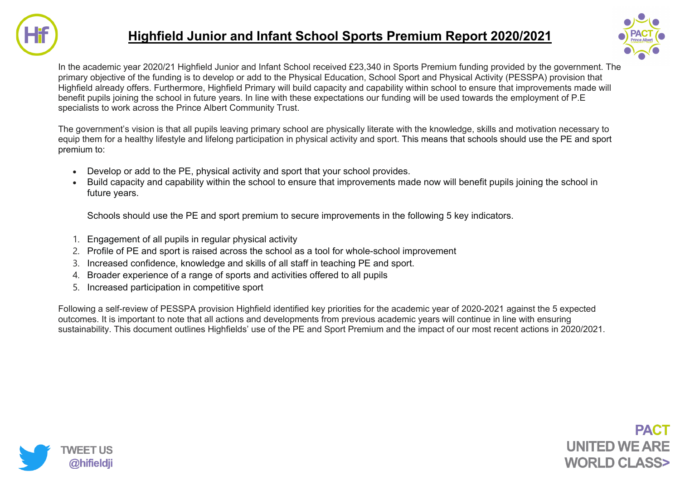

## **Highfield Junior and Infant School Sports Premium Report 2020/2021**



In the academic year 2020/21 Highfield Junior and Infant School received £23,340 in Sports Premium funding provided by the government. The primary objective of the funding is to develop or add to the Physical Education, School Sport and Physical Activity (PESSPA) provision that Highfield already offers. Furthermore, Highfield Primary will build capacity and capability within school to ensure that improvements made will benefit pupils joining the school in future years. In line with these expectations our funding will be used towards the employment of P.E specialists to work across the Prince Albert Community Trust.

The government's vision is that all pupils leaving primary school are physically literate with the knowledge, skills and motivation necessary to equip them for a healthy lifestyle and lifelong participation in physical activity and sport. This means that schools should use the PE and sport premium to:

- Develop or add to the PE, physical activity and sport that your school provides.
- Build capacity and capability within the school to ensure that improvements made now will benefit pupils joining the school in future years.

Schools should use the PE and sport premium to secure improvements in the following 5 key indicators.

- 1. Engagement of all pupils in regular physical activity
- 2. Profile of PE and sport is raised across the school as a tool for whole-school improvement
- 3. Increased confidence, knowledge and skills of all staff in teaching PE and sport.
- 4. Broader experience of a range of sports and activities offered to all pupils
- 5. Increased participation in competitive sport

Following a self-review of PESSPA provision Highfield identified key priorities for the academic year of 2020-2021 against the 5 expected outcomes. It is important to note that all actions and developments from previous academic years will continue in line with ensuring sustainability. This document outlines Highfields' use of the PE and Sport Premium and the impact of our most recent actions in 2020/2021.

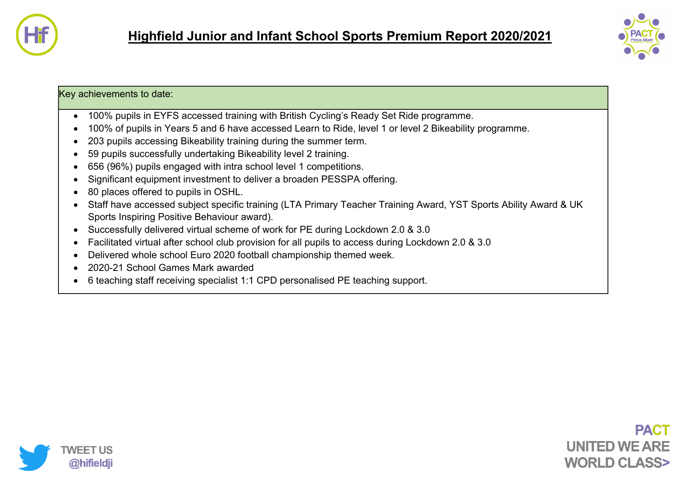



## Key achievements to date:

- 100% pupils in EYFS accessed training with British Cycling's Ready Set Ride programme.
- 100% of pupils in Years 5 and 6 have accessed Learn to Ride, level 1 or level 2 Bikeability programme.
- 203 pupils accessing Bikeability training during the summer term.
- 59 pupils successfully undertaking Bikeability level 2 training.
- 656 (96%) pupils engaged with intra school level 1 competitions.
- Significant equipment investment to deliver a broaden PESSPA offering.
- 80 places offered to pupils in OSHL.
- Staff have accessed subject specific training (LTA Primary Teacher Training Award, YST Sports Ability Award & UK Sports Inspiring Positive Behaviour award).
- Successfully delivered virtual scheme of work for PE during Lockdown 2.0 & 3.0
- Facilitated virtual after school club provision for all pupils to access during Lockdown 2.0 & 3.0
- Delivered whole school Euro 2020 football championship themed week.
- 2020-21 School Games Mark awarded
- 6 teaching staff receiving specialist 1:1 CPD personalised PE teaching support.

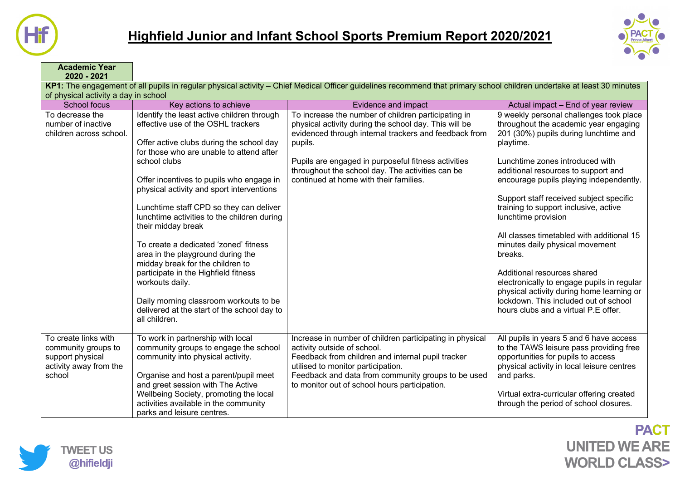



**Academic Year 2020 - 2021 KP1:** The engagement of all pupils in regular physical activity – Chief Medical Officer guidelines recommend that primary school children undertake at least 30 minutes of physical activity a day in school School focus **Key actions to achieve Evidence and impact** Evidence and impact Actual impact – End of year review To decrease the number of inactive children across school. Identify the least active children through effective use of the OSHL trackers Offer active clubs during the school day for those who are unable to attend after school clubs Offer incentives to pupils who engage in physical activity and sport interventions Lunchtime staff CPD so they can deliver lunchtime activities to the children during their midday break To create a dedicated 'zoned' fitness area in the playground during the midday break for the children to participate in the Highfield fitness workouts daily. Daily morning classroom workouts to be delivered at the start of the school day to all children. To increase the number of children participating in physical activity during the school day. This will be evidenced through internal trackers and feedback from pupils. Pupils are engaged in purposeful fitness activities throughout the school day. The activities can be continued at home with their families. 9 weekly personal challenges took place throughout the academic year engaging 201 (30%) pupils during lunchtime and playtime. Lunchtime zones introduced with additional resources to support and encourage pupils playing independently. Support staff received subject specific training to support inclusive, active lunchtime provision All classes timetabled with additional 15 minutes daily physical movement breaks. Additional resources shared electronically to engage pupils in regular physical activity during home learning or lockdown. This included out of school hours clubs and a virtual P.E offer. To create links with community groups to support physical activity away from the school To work in partnership with local community groups to engage the school community into physical activity. Organise and host a parent/pupil meet and greet session with The Active Wellbeing Society, promoting the local activities available in the community parks and leisure centres. Increase in number of children participating in physical activity outside of school. Feedback from children and internal pupil tracker utilised to monitor participation. Feedback and data from community groups to be used to monitor out of school hours participation. All pupils in years 5 and 6 have access to the TAWS leisure pass providing free opportunities for pupils to access physical activity in local leisure centres and parks. Virtual extra-curricular offering created through the period of school closures.

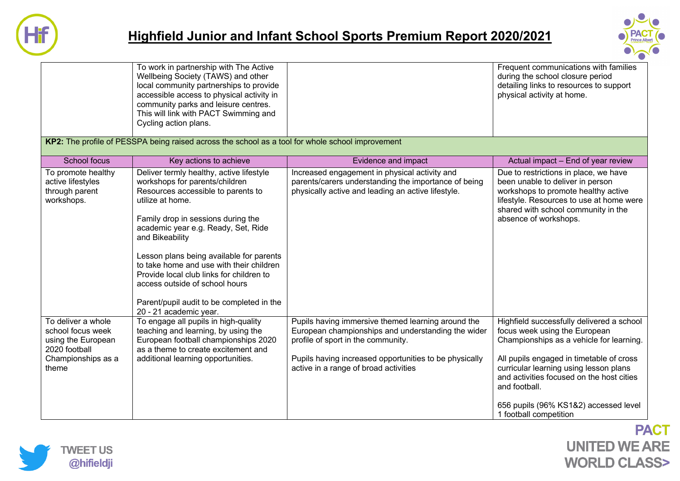

## **Highfield Junior and Infant School Sports Premium Report 2020/2021**



|                                                                                                               | To work in partnership with The Active<br>Wellbeing Society (TAWS) and other<br>local community partnerships to provide<br>accessible access to physical activity in<br>community parks and leisure centres.<br>This will link with PACT Swimming and<br>Cycling action plans.                                                                                                                                                                                                    |                                                                                                                                                                                                                                                   | Frequent communications with families<br>during the school closure period<br>detailing links to resources to support<br>physical activity at home.                                                                           |
|---------------------------------------------------------------------------------------------------------------|-----------------------------------------------------------------------------------------------------------------------------------------------------------------------------------------------------------------------------------------------------------------------------------------------------------------------------------------------------------------------------------------------------------------------------------------------------------------------------------|---------------------------------------------------------------------------------------------------------------------------------------------------------------------------------------------------------------------------------------------------|------------------------------------------------------------------------------------------------------------------------------------------------------------------------------------------------------------------------------|
|                                                                                                               | KP2: The profile of PESSPA being raised across the school as a tool for whole school improvement                                                                                                                                                                                                                                                                                                                                                                                  |                                                                                                                                                                                                                                                   |                                                                                                                                                                                                                              |
| <b>School focus</b>                                                                                           | Key actions to achieve                                                                                                                                                                                                                                                                                                                                                                                                                                                            | Evidence and impact                                                                                                                                                                                                                               | Actual impact - End of year review                                                                                                                                                                                           |
| To promote healthy<br>active lifestyles<br>through parent<br>workshops.                                       | Deliver termly healthy, active lifestyle<br>workshops for parents/children<br>Resources accessible to parents to<br>utilize at home.<br>Family drop in sessions during the<br>academic year e.g. Ready, Set, Ride<br>and Bikeability<br>Lesson plans being available for parents<br>to take home and use with their children<br>Provide local club links for children to<br>access outside of school hours<br>Parent/pupil audit to be completed in the<br>20 - 21 academic year. | Increased engagement in physical activity and<br>parents/carers understanding the importance of being<br>physically active and leading an active lifestyle.                                                                                       | Due to restrictions in place, we have<br>been unable to deliver in person<br>workshops to promote healthy active<br>lifestyle. Resources to use at home were<br>shared with school community in the<br>absence of workshops. |
| To deliver a whole<br>school focus week<br>using the European<br>2020 football<br>Championships as a<br>theme | To engage all pupils in high-quality<br>teaching and learning, by using the<br>European football championships 2020<br>as a theme to create excitement and<br>additional learning opportunities.                                                                                                                                                                                                                                                                                  | Pupils having immersive themed learning around the<br>European championships and understanding the wider<br>profile of sport in the community.<br>Pupils having increased opportunities to be physically<br>active in a range of broad activities | Highfield successfully delivered a school<br>focus week using the European<br>Championships as a vehicle for learning.<br>All pupils engaged in timetable of cross<br>curricular learning using lesson plans                 |
|                                                                                                               |                                                                                                                                                                                                                                                                                                                                                                                                                                                                                   |                                                                                                                                                                                                                                                   | and activities focused on the host cities<br>and football.<br>656 pupils (96% KS1&2) accessed level<br>1 football competition                                                                                                |

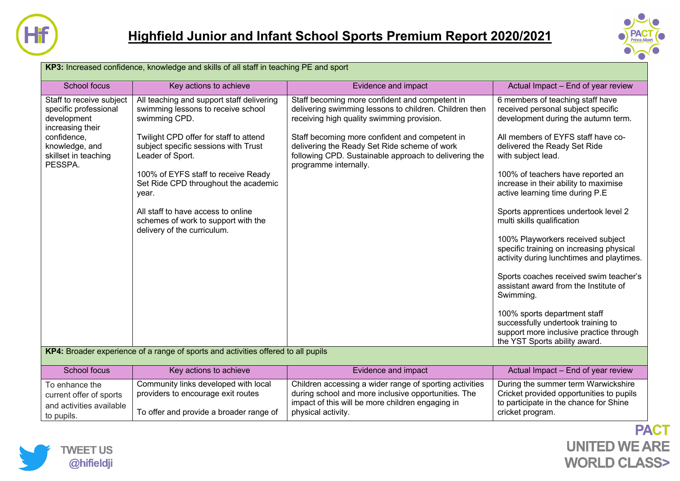



| KP3: Increased confidence, knowledge and skills of all staff in teaching PE and sport                                                                    |                                                                                                                                                                                                                                                                                                                                                                                                            |                                                                                                                                                                                                                                                                                                                                            |                                                                                                                                                                                                                                                                                                                                                                                                                                                                                                                                                                                                                                                                                                                                                                                  |  |
|----------------------------------------------------------------------------------------------------------------------------------------------------------|------------------------------------------------------------------------------------------------------------------------------------------------------------------------------------------------------------------------------------------------------------------------------------------------------------------------------------------------------------------------------------------------------------|--------------------------------------------------------------------------------------------------------------------------------------------------------------------------------------------------------------------------------------------------------------------------------------------------------------------------------------------|----------------------------------------------------------------------------------------------------------------------------------------------------------------------------------------------------------------------------------------------------------------------------------------------------------------------------------------------------------------------------------------------------------------------------------------------------------------------------------------------------------------------------------------------------------------------------------------------------------------------------------------------------------------------------------------------------------------------------------------------------------------------------------|--|
| School focus                                                                                                                                             | Key actions to achieve                                                                                                                                                                                                                                                                                                                                                                                     | Evidence and impact                                                                                                                                                                                                                                                                                                                        | Actual Impact - End of year review                                                                                                                                                                                                                                                                                                                                                                                                                                                                                                                                                                                                                                                                                                                                               |  |
| Staff to receive subject<br>specific professional<br>development<br>increasing their<br>confidence,<br>knowledge, and<br>skillset in teaching<br>PESSPA. | All teaching and support staff delivering<br>swimming lessons to receive school<br>swimming CPD.<br>Twilight CPD offer for staff to attend<br>subject specific sessions with Trust<br>Leader of Sport.<br>100% of EYFS staff to receive Ready<br>Set Ride CPD throughout the academic<br>year.<br>All staff to have access to online<br>schemes of work to support with the<br>delivery of the curriculum. | Staff becoming more confident and competent in<br>delivering swimming lessons to children. Children then<br>receiving high quality swimming provision.<br>Staff becoming more confident and competent in<br>delivering the Ready Set Ride scheme of work<br>following CPD. Sustainable approach to delivering the<br>programme internally. | 6 members of teaching staff have<br>received personal subject specific<br>development during the autumn term.<br>All members of EYFS staff have co-<br>delivered the Ready Set Ride<br>with subject lead.<br>100% of teachers have reported an<br>increase in their ability to maximise<br>active learning time during P.E<br>Sports apprentices undertook level 2<br>multi skills qualification<br>100% Playworkers received subject<br>specific training on increasing physical<br>activity during lunchtimes and playtimes.<br>Sports coaches received swim teacher's<br>assistant award from the Institute of<br>Swimming.<br>100% sports department staff<br>successfully undertook training to<br>support more inclusive practice through<br>the YST Sports ability award. |  |
| KP4: Broader experience of a range of sports and activities offered to all pupils                                                                        |                                                                                                                                                                                                                                                                                                                                                                                                            |                                                                                                                                                                                                                                                                                                                                            |                                                                                                                                                                                                                                                                                                                                                                                                                                                                                                                                                                                                                                                                                                                                                                                  |  |
| <b>School focus</b>                                                                                                                                      | Key actions to achieve                                                                                                                                                                                                                                                                                                                                                                                     | Evidence and impact                                                                                                                                                                                                                                                                                                                        | Actual Impact - End of year review                                                                                                                                                                                                                                                                                                                                                                                                                                                                                                                                                                                                                                                                                                                                               |  |
| To enhance the<br>current offer of sports<br>and activities available<br>to pupils.                                                                      | Community links developed with local<br>providers to encourage exit routes<br>To offer and provide a broader range of                                                                                                                                                                                                                                                                                      | Children accessing a wider range of sporting activities<br>during school and more inclusive opportunities. The<br>impact of this will be more children engaging in<br>physical activity.                                                                                                                                                   | During the summer term Warwickshire<br>Cricket provided opportunities to pupils<br>to participate in the chance for Shine<br>cricket program.                                                                                                                                                                                                                                                                                                                                                                                                                                                                                                                                                                                                                                    |  |

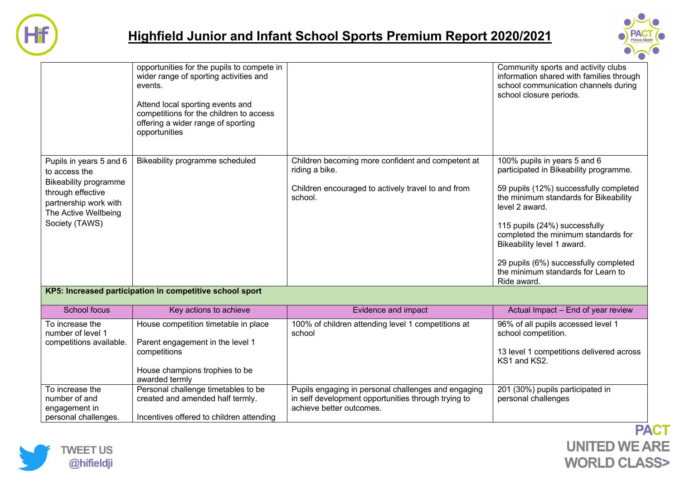



|                                                                                                                                                                  | opportunities for the pupils to compete in<br>wider range of sporting activities and<br>events.<br>Attend local sporting events and<br>competitions for the children to access<br>offering a wider range of sporting<br>opportunities |                                                                                                                                        | Community sports and activity clubs<br>information shared with families through<br>school communication channels during<br>school closure periods.                                                                                                                                                                                                                              |  |  |
|------------------------------------------------------------------------------------------------------------------------------------------------------------------|---------------------------------------------------------------------------------------------------------------------------------------------------------------------------------------------------------------------------------------|----------------------------------------------------------------------------------------------------------------------------------------|---------------------------------------------------------------------------------------------------------------------------------------------------------------------------------------------------------------------------------------------------------------------------------------------------------------------------------------------------------------------------------|--|--|
| Pupils in years 5 and 6<br>to access the<br><b>Bikeability programme</b><br>through effective<br>partnership work with<br>The Active Wellbeing<br>Society (TAWS) | Bikeability programme scheduled                                                                                                                                                                                                       | Children becoming more confident and competent at<br>riding a bike.<br>Children encouraged to actively travel to and from<br>school.   | 100% pupils in years 5 and 6<br>participated in Bikeability programme.<br>59 pupils (12%) successfully completed<br>the minimum standards for Bikeability<br>level 2 award.<br>115 pupils (24%) successfully<br>completed the minimum standards for<br>Bikeability level 1 award.<br>29 pupils (6%) successfully completed<br>the minimum standards for Learn to<br>Ride award. |  |  |
| KP5: Increased participation in competitive school sport                                                                                                         |                                                                                                                                                                                                                                       |                                                                                                                                        |                                                                                                                                                                                                                                                                                                                                                                                 |  |  |
| School focus                                                                                                                                                     | Key actions to achieve                                                                                                                                                                                                                | Evidence and impact                                                                                                                    | Actual Impact - End of year review                                                                                                                                                                                                                                                                                                                                              |  |  |
| To increase the<br>number of level 1<br>competitions available.                                                                                                  | House competition timetable in place<br>Parent engagement in the level 1<br>competitions<br>House champions trophies to be<br>awarded termly                                                                                          | 100% of children attending level 1 competitions at<br>school                                                                           | 96% of all pupils accessed level 1<br>school competition.<br>13 level 1 competitions delivered across<br>KS1 and KS2.                                                                                                                                                                                                                                                           |  |  |
| To increase the<br>number of and<br>engagement in<br>personal challenges.                                                                                        | Personal challenge timetables to be<br>created and amended half termly.<br>Incentives offered to children attending                                                                                                                   | Pupils engaging in personal challenges and engaging<br>in self development opportunities through trying to<br>achieve better outcomes. | 201 (30%) pupils participated in<br>personal challenges                                                                                                                                                                                                                                                                                                                         |  |  |